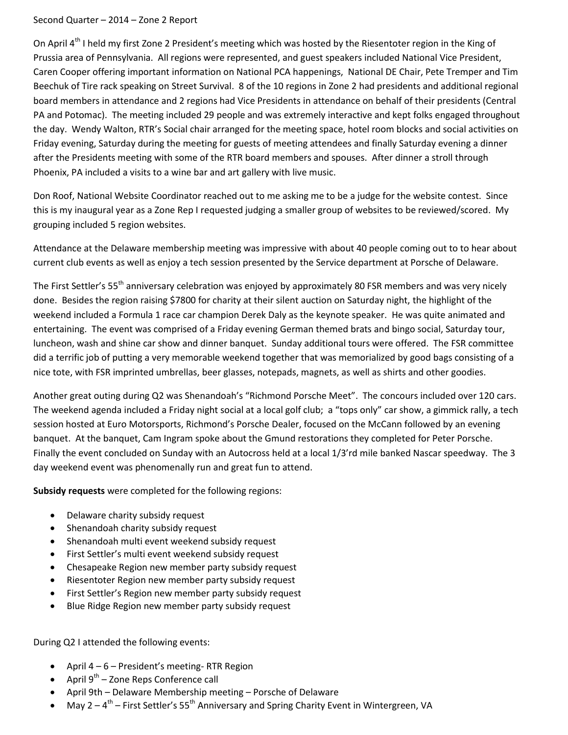## Second Quarter – 2014 – Zone 2 Report

On April  $4<sup>th</sup>$  I held my first Zone 2 President's meeting which was hosted by the Riesentoter region in the King of Prussia area of Pennsylvania. All regions were represented, and guest speakers included National Vice President, Caren Cooper offering important information on National PCA happenings, National DE Chair, Pete Tremper and Tim Beechuk of Tire rack speaking on Street Survival. 8 of the 10 regions in Zone 2 had presidents and additional regional board members in attendance and 2 regions had Vice Presidents in attendance on behalf of their presidents (Central PA and Potomac). The meeting included 29 people and was extremely interactive and kept folks engaged throughout the day. Wendy Walton, RTR's Social chair arranged for the meeting space, hotel room blocks and social activities on Friday evening, Saturday during the meeting for guests of meeting attendees and finally Saturday evening a dinner after the Presidents meeting with some of the RTR board members and spouses. After dinner a stroll through Phoenix, PA included a visits to a wine bar and art gallery with live music.

Don Roof, National Website Coordinator reached out to me asking me to be a judge for the website contest. Since this is my inaugural year as a Zone Rep I requested judging a smaller group of websites to be reviewed/scored. My grouping included 5 region websites.

Attendance at the Delaware membership meeting was impressive with about 40 people coming out to to hear about current club events as well as enjoy a tech session presented by the Service department at Porsche of Delaware.

The First Settler's 55<sup>th</sup> anniversary celebration was enjoyed by approximately 80 FSR members and was very nicely done. Besides the region raising \$7800 for charity at their silent auction on Saturday night, the highlight of the weekend included a Formula 1 race car champion Derek Daly as the keynote speaker. He was quite animated and entertaining. The event was comprised of a Friday evening German themed brats and bingo social, Saturday tour, luncheon, wash and shine car show and dinner banquet. Sunday additional tours were offered. The FSR committee did a terrific job of putting a very memorable weekend together that was memorialized by good bags consisting of a nice tote, with FSR imprinted umbrellas, beer glasses, notepads, magnets, as well as shirts and other goodies.

Another great outing during Q2 was Shenandoah's "Richmond Porsche Meet". The concours included over 120 cars. The weekend agenda included a Friday night social at a local golf club; a "tops only" car show, a gimmick rally, a tech session hosted at Euro Motorsports, Richmond's Porsche Dealer, focused on the McCann followed by an evening banquet. At the banquet, Cam Ingram spoke about the Gmund restorations they completed for Peter Porsche. Finally the event concluded on Sunday with an Autocross held at a local 1/3'rd mile banked Nascar speedway. The 3 day weekend event was phenomenally run and great fun to attend.

**Subsidy requests** were completed for the following regions:

- Delaware charity subsidy request
- Shenandoah charity subsidy request
- Shenandoah multi event weekend subsidy request
- First Settler's multi event weekend subsidy request
- Chesapeake Region new member party subsidy request
- Riesentoter Region new member party subsidy request
- First Settler's Region new member party subsidy request
- Blue Ridge Region new member party subsidy request

During Q2 I attended the following events:

- April  $4 6$  President's meeting-RTR Region
- April  $9^{th}$  Zone Reps Conference call
- April 9th Delaware Membership meeting Porsche of Delaware
- May 2  $4^{\text{th}}$  First Settler's 55<sup>th</sup> Anniversary and Spring Charity Event in Wintergreen, VA